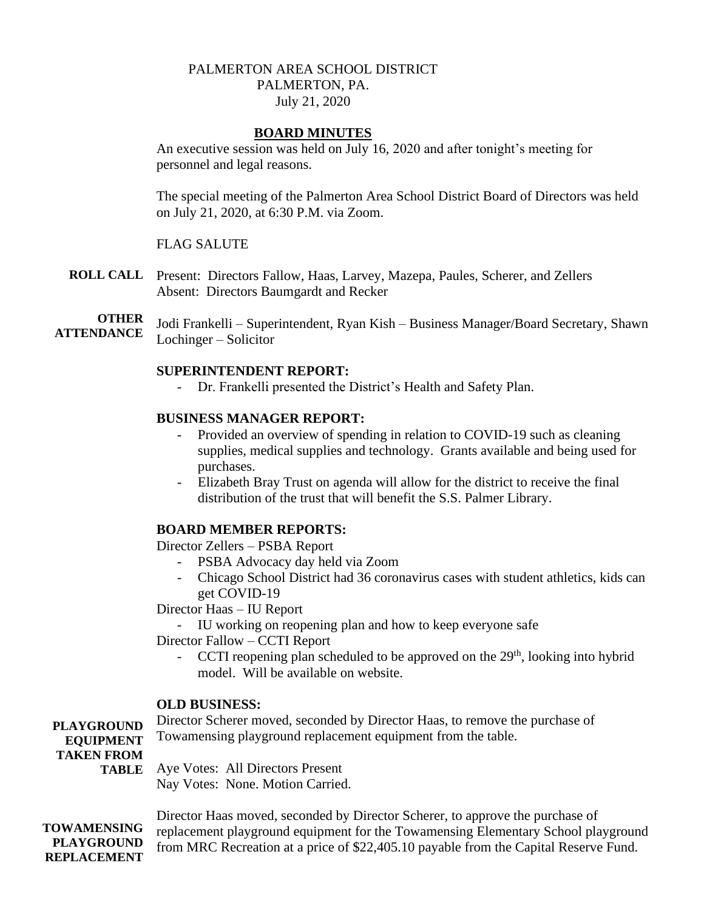# PALMERTON AREA SCHOOL DISTRICT PALMERTON, PA. July 21, 2020

## **BOARD MINUTES**

An executive session was held on July 16, 2020 and after tonight's meeting for personnel and legal reasons.

The special meeting of the Palmerton Area School District Board of Directors was held on July 21, 2020, at 6:30 P.M. via Zoom.

# FLAG SALUTE

- **ROLL CALL** Present: Directors Fallow, Haas, Larvey, Mazepa, Paules, Scherer, and Zellers Absent: Directors Baumgardt and Recker
- **OTHER ATTENDANCE** Jodi Frankelli – Superintendent, Ryan Kish – Business Manager/Board Secretary, Shawn Lochinger – Solicitor

### **SUPERINTENDENT REPORT:**

Dr. Frankelli presented the District's Health and Safety Plan.

### **BUSINESS MANAGER REPORT:**

- Provided an overview of spending in relation to COVID-19 such as cleaning supplies, medical supplies and technology. Grants available and being used for purchases.
- Elizabeth Bray Trust on agenda will allow for the district to receive the final distribution of the trust that will benefit the S.S. Palmer Library.

#### **BOARD MEMBER REPORTS:**

Director Zellers – PSBA Report

- PSBA Advocacy day held via Zoom
- Chicago School District had 36 coronavirus cases with student athletics, kids can get COVID-19

Director Haas – IU Report

- IU working on reopening plan and how to keep everyone safe

Director Fallow – CCTI Report

- CCTI reopening plan scheduled to be approved on the  $29<sup>th</sup>$ , looking into hybrid model. Will be available on website.

### **OLD BUSINESS:**

**PLAYGROUND EQUIPMENT TAKEN FROM TABLE** Aye Votes: All Directors Present Director Scherer moved, seconded by Director Haas, to remove the purchase of Towamensing playground replacement equipment from the table. Nay Votes: None. Motion Carried.

**TOWAMENSING PLAYGROUND REPLACEMENT**  Director Haas moved, seconded by Director Scherer, to approve the purchase of replacement playground equipment for the Towamensing Elementary School playground from MRC Recreation at a price of \$22,405.10 payable from the Capital Reserve Fund.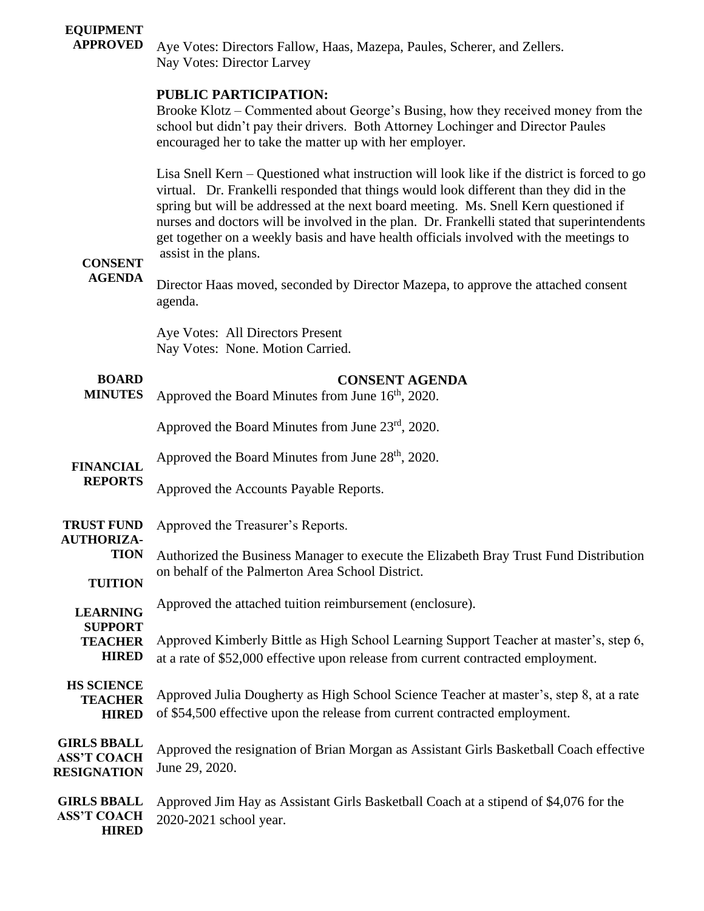#### **EQUIPMENT APPROVED**

Aye Votes: Directors Fallow, Haas, Mazepa, Paules, Scherer, and Zellers. Nay Votes: Director Larvey

# **PUBLIC PARTICIPATION:**

Brooke Klotz – Commented about George's Busing, how they received money from the school but didn't pay their drivers. Both Attorney Lochinger and Director Paules encouraged her to take the matter up with her employer.

Lisa Snell Kern – Questioned what instruction will look like if the district is forced to go virtual. Dr. Frankelli responded that things would look different than they did in the spring but will be addressed at the next board meeting. Ms. Snell Kern questioned if nurses and doctors will be involved in the plan. Dr. Frankelli stated that superintendents get together on a weekly basis and have health officials involved with the meetings to assist in the plans.

#### **CONSENT AGENDA**

**HIRED**

Director Haas moved, seconded by Director Mazepa, to approve the attached consent agenda.

Aye Votes: All Directors Present Nay Votes: None. Motion Carried.

#### **BOARD MINUTES FINANCIAL REPORTS TRUST FUND AUTHORIZA-TION TUITION LEARNING SUPPORT TEACHER HIRED HS SCIENCE TEACHER HIRED GIRLS BBALL ASS'T COACH RESIGNATION GIRLS BBALL ASS'T COACH CONSENT AGENDA** Approved the Board Minutes from June  $16<sup>th</sup>$ , 2020. Approved the Board Minutes from June 23rd, 2020. Approved the Board Minutes from June  $28<sup>th</sup>$ , 2020. Approved the Accounts Payable Reports. Approved the Treasurer's Reports. Authorized the Business Manager to execute the Elizabeth Bray Trust Fund Distribution on behalf of the Palmerton Area School District. Approved the attached tuition reimbursement (enclosure). Approved Kimberly Bittle as High School Learning Support Teacher at master's, step 6, at a rate of \$52,000 effective upon release from current contracted employment. Approved Julia Dougherty as High School Science Teacher at master's, step 8, at a rate of \$54,500 effective upon the release from current contracted employment. Approved the resignation of Brian Morgan as Assistant Girls Basketball Coach effective June 29, 2020. Approved Jim Hay as Assistant Girls Basketball Coach at a stipend of \$4,076 for the 2020-2021 school year.